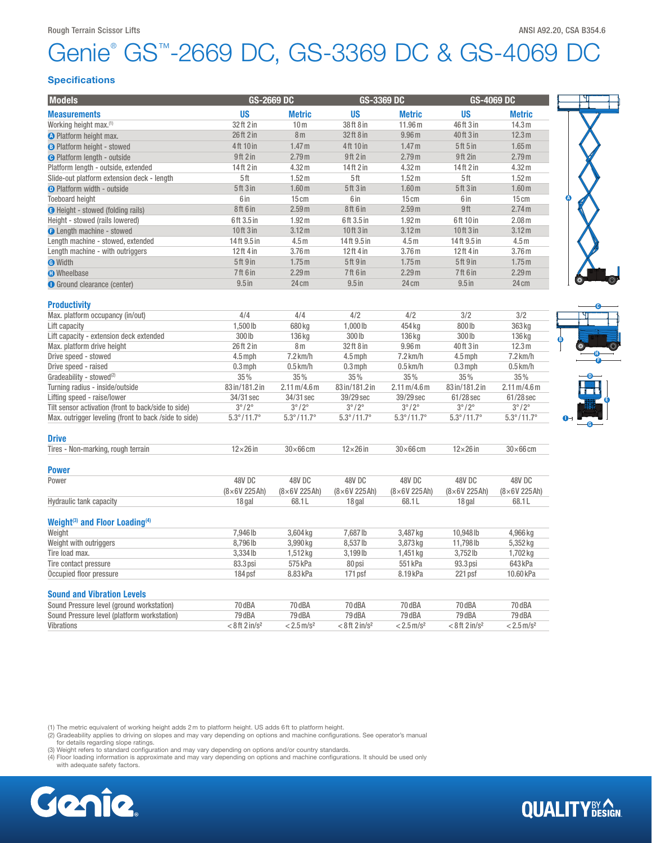## Genie® GS™-2669 DC, GS-3369 DC & GS-4069 DC

### Specifications

| <b>Models</b>                                          | GS-2669 DC                   |                                      | GS-3369 DC                 |                                      | <b>GS-4069 DC</b>            |                                      |
|--------------------------------------------------------|------------------------------|--------------------------------------|----------------------------|--------------------------------------|------------------------------|--------------------------------------|
| <b>Measurements</b>                                    | <b>US</b>                    | <b>Metric</b>                        | <b>US</b>                  | <b>Metric</b>                        | <b>US</b>                    | <b>Metric</b>                        |
| Working height max. <sup>(1)</sup>                     | 32 ft 2 in                   | 10 <sub>m</sub>                      | 38ft 8 in                  | 11.96 m                              | 46ft 3 in                    | 14.3 <sub>m</sub>                    |
| O Platform height max.                                 | 26 ft 2 in                   | 8 <sub>m</sub>                       | 32ft 8 in                  | 9.96 <sub>m</sub>                    | 40 ft 3 in                   | 12.3 m                               |
| <b>B</b> Platform height - stowed                      | 4ft 10 in                    | 1.47 <sub>m</sub>                    | 4ft 10 in                  | 1.47 <sub>m</sub>                    | 5ft 5 in                     | 1.65 <sub>m</sub>                    |
| <b>O</b> Platform length - outside                     | 9ft 2 in                     | 2.79 <sub>m</sub>                    | 9ft 2 in                   | 2.79 <sub>m</sub>                    | 9ft 2in                      | 2.79 <sub>m</sub>                    |
| Platform length - outside, extended                    | 14ft 2 in                    | 4.32 m                               | 14ft 2 in                  | 4.32 m                               | 14ft 2 in                    | 4.32 m                               |
| Slide-out platform extension deck - length             | 5ft                          | 1.52 <sub>m</sub>                    | 5 <sup>th</sup>            | 1.52 <sub>m</sub>                    | 5ft                          | 1.52 <sub>m</sub>                    |
| <b>O</b> Platform width - outside                      | 5ft 3in                      | 1.60 <sub>m</sub>                    | 5ft 3 in                   | 1.60 <sub>m</sub>                    | <b>5ft 3in</b>               | 1.60 <sub>m</sub>                    |
| <b>Toeboard height</b>                                 | 6 in                         | 15cm                                 | 6 in                       | 15cm                                 | 6 in                         | 15cm                                 |
| <b>B</b> Height - stowed (folding rails)               | 8ft 6in                      | 2.59 <sub>m</sub>                    | 8ft 6 in                   | 2.59 <sub>m</sub>                    | 9ft                          | 2.74 <sub>m</sub>                    |
| Height - stowed (rails lowered)                        | 6ft 3.5 in                   | 1.92 <sub>m</sub>                    | 6ft 3.5 in                 | 1.92 <sub>m</sub>                    | 6ft 10 in                    | 2.08 <sub>m</sub>                    |
| <b>O</b> Length machine - stowed                       | 10ft 3 in                    | 3.12 <sub>m</sub>                    | 10ft 3 in                  | 3.12 <sub>m</sub>                    | 10ft 3 in                    | 3.12 <sub>m</sub>                    |
| Length machine - stowed, extended                      | 14ft 9.5 in                  | 4.5 <sub>m</sub>                     | 14ft 9.5 in                | 4.5 <sub>m</sub>                     | 14ft 9.5 in                  | 4.5m                                 |
|                                                        | 12ft 4 in                    | 3.76 <sub>m</sub>                    | 12ft 4 in                  | 3.76 <sub>m</sub>                    | 12ft 4 in                    | 3.76 <sub>m</sub>                    |
| Length machine - with outriggers                       | 5ft 9 in                     | 1.75m                                | 5ft 9 in                   | 1.75m                                | <b>5ft 9in</b>               | 1.75m                                |
| <b>O</b> Width                                         |                              |                                      |                            |                                      |                              |                                      |
| <b>O</b> Wheelbase                                     | 7ft 6 in                     | 2.29 <sub>m</sub>                    | 7ft 6 in                   | 2.29 <sub>m</sub>                    | <b>7ft 6 in</b>              | 2.29 <sub>m</sub>                    |
| <b>O</b> Ground clearance (center)                     | $9.5$ in                     | 24 cm                                | $9.5$ in                   | 24 cm                                | $9.5$ in                     | 24 cm                                |
| <b>Productivity</b>                                    |                              |                                      |                            |                                      |                              |                                      |
| Max. platform occupancy (in/out)                       | 4/4                          | 4/4                                  | 4/2                        | 4/2                                  | 3/2                          | 3/2                                  |
| Lift capacity                                          | 1,500 lb                     | 680 kg                               | 1,000 lb                   | 454 kg                               | 800 lb                       | 363 kg                               |
| Lift capacity - extension deck extended                | 300 lb                       | 136 kg                               | $300$ lb                   | 136 kg                               | 300 lb                       | 136 kg                               |
| Max. platform drive height                             | 26ft 2 in                    | 8 <sub>m</sub>                       | 32ft 8 in                  | 9.96 <sub>m</sub>                    | 40 ft 3 in                   | 12.3 <sub>m</sub>                    |
| Drive speed - stowed                                   | $4.5$ mph                    | $7.2$ km/h                           | $4.5$ mph                  | $7.2$ km/h                           | $4.5$ mph                    | 7.2 km/h                             |
| Drive speed - raised                                   | $0.3$ mph                    | $0.5$ km/h                           | $0.3$ mph                  | $0.5$ km/h                           | $0.3$ mph                    | $0.5$ km/h                           |
| Gradeability - stowed <sup>(2)</sup>                   | 35%                          | 35%                                  | 35%                        | 35%                                  | 35%                          | 35%                                  |
| Turning radius - inside/outside                        | 83 in/181.2 in               | $2.11 \,\mathrm{m}/4.6 \,\mathrm{m}$ | 83 in/181.2 in             | $2.11 \,\mathrm{m}/4.6 \,\mathrm{m}$ | 83 in/181.2 in               | $2.11 \,\mathrm{m}/4.6 \,\mathrm{m}$ |
| Lifting speed - raise/lower                            | 34/31 sec                    | 34/31 sec                            | 39/29 sec                  | 39/29 sec                            | 61/28 sec                    | 61/28 sec                            |
| Tilt sensor activation (front to back/side to side)    | $3^{\circ}/2^{\circ}$        | $3^{\circ}/2^{\circ}$                | $3^{\circ}/2^{\circ}$      | $3^{\circ}/2^{\circ}$                | $3^{\circ}/2^{\circ}$        | $3^{\circ}/2^{\circ}$                |
| Max. outrigger leveling (front to back /side to side)  | $5.3^{\circ}/11.7^{\circ}$   | $5.3^{\circ}/11.7^{\circ}$           | $5.3^{\circ}/11.7^{\circ}$ | $5.3^{\circ}/11.7^{\circ}$           | $5.3^{\circ}/11.7^{\circ}$   | $5.3^{\circ}/11.7^{\circ}$           |
| <b>Drive</b>                                           |                              |                                      |                            |                                      |                              |                                      |
| Tires - Non-marking, rough terrain                     | $12\times26$ in              | $30\times 66$ cm                     | $12\times26$ in            | $30\times 66$ cm                     | $12\times26$ in              | $30\times 66$ cm                     |
| <b>Power</b>                                           |                              |                                      |                            |                                      |                              |                                      |
| Power                                                  | 48V DC                       | 48V DC                               | 48V DC                     | 48V DC                               | 48V DC                       | 48V DC                               |
|                                                        | $(8\times6V 225Ah)$          | $(8\times6V 225Ah)$                  | $(8\times6V 225Ah)$        | $(8\times6V 225Ah)$                  | $(8\times 6V 225Ah)$         | $(8\times6V 225Ah)$                  |
| <b>Hydraulic tank capacity</b>                         | 18 gal                       | 68.1L                                | 18 gal                     | 68.1L                                | 18 gal                       | 68.1L                                |
| Weight <sup>(3)</sup> and Floor Loading <sup>(4)</sup> |                              |                                      |                            |                                      |                              |                                      |
| Weight                                                 | 7,946 lb                     | 3,604 kg                             | 7,687 lb                   | 3,487 kg                             | 10,948 lb                    | 4,966 kg                             |
| Weight with outriggers                                 | 8,796 lb                     | 3,990 kg                             | 8,537 lb                   | 3,873 kg                             | 11,798lb                     | 5,352 kg                             |
| Tire load max.                                         | 3,334 lb                     | 1,512kg                              | 3,199 lb                   | 1,451 kg                             | 3,752lb                      | 1,702 kg                             |
| Tire contact pressure                                  | 83.3 psi                     | 575 kPa                              | 80 psi                     | 551 kPa                              | 93.3 psi                     | 643 kPa                              |
| Occupied floor pressure                                | 184 psf                      | 8.83 kPa                             | 171 psf                    | 8.19 kPa                             | 221 psf                      | 10.60 kPa                            |
| <b>Sound and Vibration Levels</b>                      |                              |                                      |                            |                                      |                              |                                      |
| Sound Pressure level (ground workstation)              | 70 dBA                       | 70 dBA                               | 70 dBA                     | 70 dBA                               | 70 dBA                       | 70 dBA                               |
| Sound Pressure level (platform workstation)            | 79 dBA                       | 79 dBA                               | 79 dBA                     | 79 dBA                               | 79 dBA                       | 79 dBA                               |
| <b>Vibrations</b>                                      | $< 8$ ft 2 in/s <sup>2</sup> | $< 2.5$ m/s <sup>2</sup>             | $< 8$ ft $2$ in/ $s2$      | $< 2.5 \,\mathrm{m/s^2}$             | $< 8$ ft 2 in/s <sup>2</sup> | $< 2.5$ m/s <sup>2</sup>             |
|                                                        |                              |                                      |                            |                                      |                              |                                      |

(1) The metric equivalent of working height adds 2m to platform height. US adds 6ft to platform height.

(2) Gradeability applies to driving on slopes and may vary depending on options and machine configurations. See operator's manual<br>for details regarding slope ratings.<br>(3) Weight refers to standard configuration and may var

(4) Floor loading information is approximate and may vary depending on options and machine configurations. It should be used only with adequate safety factors.